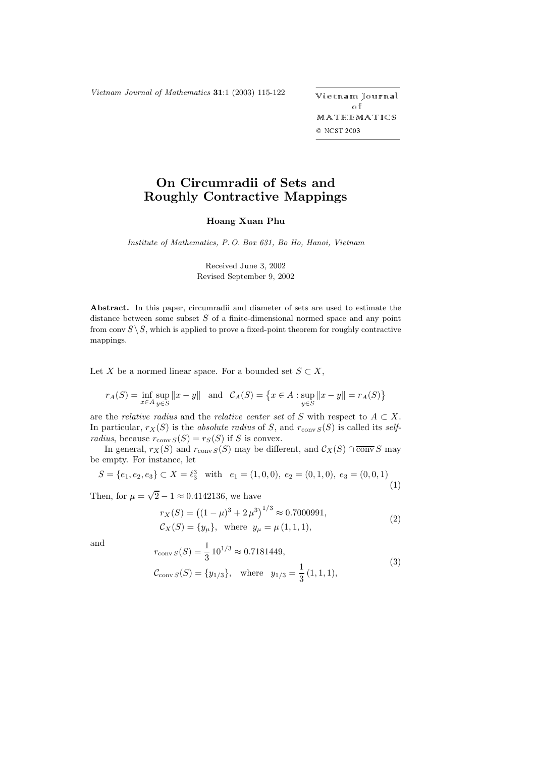*Vietnam Journal of Mathematics* **31**:1 (2003) 115-122

ietnam Journal o f MATHEMATICS © NCST 2003

## **On Circumradii of Sets and Roughly Contractive Mappings**

## **Hoang Xuan Phu**

*Institute of Mathematics, P. O. Box 631, Bo Ho, Hanoi, Vietnam*

Received June 3, 2002 Revised September 9, 2002

**Abstract.** In this paper, circumradii and diameter of sets are used to estimate the distance between some subset  $S$  of a finite-dimensional normed space and any point from conv  $S \setminus S$ , which is applied to prove a fixed-point theorem for roughly contractive mappings.

Let X be a normed linear space. For a bounded set  $S \subset X$ ,

$$
r_A(S) = \inf_{x \in A} \sup_{y \in S} ||x - y|| \text{ and } C_A(S) = \{ x \in A : \sup_{y \in S} ||x - y|| = r_A(S) \}
$$

are the *relative radius* and the *relative center set* of S with respect to  $A \subset X$ . In particular,  $r_X(S)$  is the *absolute radius* of S, and  $r_{conv\ S}(S)$  is called its *selfradius*, because  $r_{\text{conv }S}(S) = r_S(S)$  if S is convex.

In general,  $r_X(S)$  and  $r_{conv\ S}(S)$  may be different, and  $\mathcal{C}_X(S) \cap \overline{\text{conv}} S$  may be empty. For instance, let

$$
S = \{e_1, e_2, e_3\} \subset X = \ell_3^3 \quad \text{with} \quad e_1 = (1, 0, 0), \ e_2 = (0, 1, 0), \ e_3 = (0, 0, 1) \tag{1}
$$

Then, for  $\mu = \sqrt{2} - 1 \approx 0.4142136$ , we have

$$
r_X(S) = ((1 - \mu)^3 + 2\mu^3)^{1/3} \approx 0.7000991,
$$
  
\n
$$
C_X(S) = \{y_\mu\}, \text{ where } y_\mu = \mu(1, 1, 1),
$$
\n(2)

and

$$
r_{\text{conv }S}(S) = \frac{1}{3} 10^{1/3} \approx 0.7181449,
$$
  
\n
$$
\mathcal{C}_{\text{conv }S}(S) = \{y_{1/3}\}, \quad \text{where} \quad y_{1/3} = \frac{1}{3} (1, 1, 1),
$$
\n(3)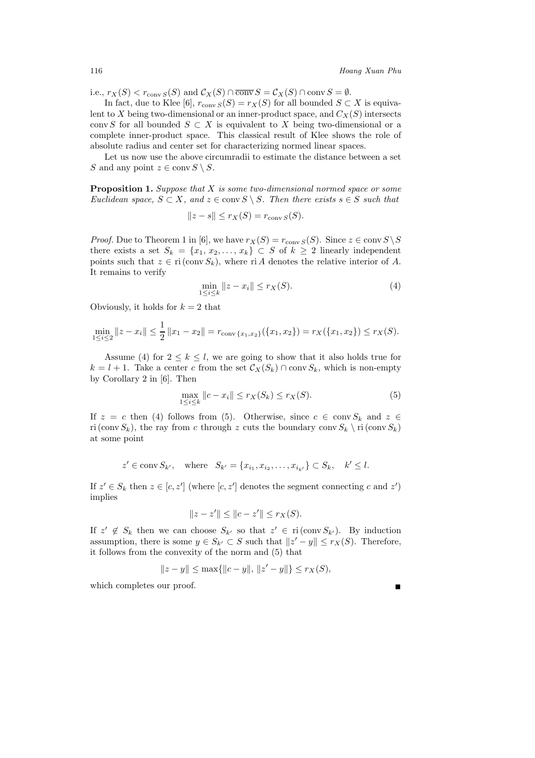i.e.,  $r_X(S) < r_{conv\ S}(S)$  and  $\mathcal{C}_X(S) \cap \overline{conv} S = \mathcal{C}_X(S) \cap conv S = \emptyset$ .

In fact, due to Klee [6],  $r_{conv S}(S) = r_X(S)$  for all bounded  $S \subset X$  is equivalent to X being two-dimensional or an inner-product space, and  $C_X(S)$  intersects conv S for all bounded  $S \subset X$  is equivalent to X being two-dimensional or a complete inner-product space. This classical result of Klee shows the role of absolute radius and center set for characterizing normed linear spaces.

Let us now use the above circumradii to estimate the distance between a set S and any point  $z \in \text{conv } S \setminus S$ .

**Proposition 1.** *Suppose that* X *is some two-dimensional normed space or some Euclidean space,*  $S \subset X$ *, and*  $z \in \text{conv } S \setminus S$ *. Then there exists*  $s \in S$  *such that* 

$$
||z - s|| \le r_X(S) = r_{\text{conv }S}(S).
$$

*Proof.* Due to Theorem 1 in [6], we have  $r_X(S) = r_{conv\ S}(S)$ . Since  $z \in conv\ S \ S$ there exists a set  $S_k = \{x_1, x_2, \ldots, x_k\} \subset S$  of  $k \geq 2$  linearly independent points such that  $z \in \text{ri}(\text{conv } S_k)$ , where ri A denotes the relative interior of A. It remains to verify

$$
\min_{1 \le i \le k} \|z - x_i\| \le r_X(S). \tag{4}
$$

Obviously, it holds for  $k = 2$  that

$$
\min_{1 \leq i \leq 2} ||z - x_i|| \leq \frac{1}{2} ||x_1 - x_2|| = r_{\text{conv}\{x_1, x_2\}}(\{x_1, x_2\}) = r_X(\{x_1, x_2\}) \leq r_X(S).
$$

Assume (4) for  $2 \leq k \leq l$ , we are going to show that it also holds true for  $k = l + 1$ . Take a center c from the set  $\mathcal{C}_X(S_k) \cap \text{conv } S_k$ , which is non-empty by Corollary 2 in [6]. Then

$$
\max_{1 \le i \le k} ||c - x_i|| \le r_X(S_k) \le r_X(S). \tag{5}
$$

If  $z = c$  then (4) follows from (5). Otherwise, since  $c \in \text{conv } S_k$  and  $z \in$ ri (conv  $S_k$ ), the ray from c through z cuts the boundary conv  $S_k \setminus \text{ri}(\text{conv }S_k)$ at some point

$$
z' \in \text{conv } S_{k'}, \text{ where } S_{k'} = \{x_{i_1}, x_{i_2}, \dots, x_{i_{k'}}\} \subset S_k, k' \leq l.
$$

If  $z' \in S_k$  then  $z \in [c, z']$  (where  $[c, z']$  denotes the segment connecting c and  $z'$ )<br>implies implies

$$
||z - z'|| \le ||c - z'|| \le r_X(S).
$$

If  $z' \notin S_k$  then we can choose  $S_{k'}$  so that  $z' \in \text{ri}(\text{conv } S_{k'})$ . By induction<br>assumption, there is some  $y \in S_{k'} \subset S$  such that  $||z' - y|| \leq r_{X}(S)$ . Therefore assumption, there is some  $y \in S_{k'} \subset S$  such that  $||z' - y|| \leq r_X(S)$ . Therefore, it follows from the convexity of the norm and (5) that it follows from the convexity of the norm and (5) that

$$
||z - y|| \le \max{||c - y||, ||z' - y||} \le r_X(S),
$$

which completes our proof.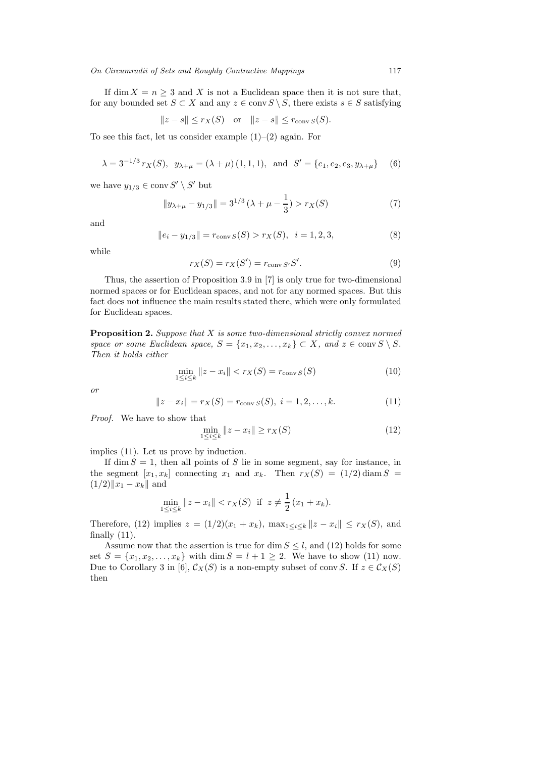## *On Circumradii of Sets and Roughly Contractive Mappings* 117

If dim  $X = n \geq 3$  and X is not a Euclidean space then it is not sure that, for any bounded set  $S \subset X$  and any  $z \in \text{conv } S \setminus S$ , there exists  $s \in S$  satisfying

$$
||z - s|| \le r_X(S) \quad \text{or} \quad ||z - s|| \le r_{\text{conv }S}(S).
$$

To see this fact, let us consider example  $(1)-(2)$  again. For

$$
\lambda = 3^{-1/3} r_X(S), \ y_{\lambda+\mu} = (\lambda + \mu) (1, 1, 1), \text{ and } S' = \{e_1, e_2, e_3, y_{\lambda+\mu}\}\
$$
 (6)

we have  $y_{1/3} \in \text{conv } S' \setminus S'$  but

$$
||y_{\lambda+\mu} - y_{1/3}|| = 3^{1/3} (\lambda + \mu - \frac{1}{3}) > r_X(S)
$$
 (7)

and

$$
||e_i - y_{1/3}|| = r_{\text{conv }S}(S) > r_X(S), \quad i = 1, 2, 3,
$$
\n(8)

while

$$
r_X(S) = r_X(S') = r_{\text{conv } S'}S'.
$$
\n(9)

Thus, the assertion of Proposition 3.9 in [7] is only true for two-dimensional normed spaces or for Euclidean spaces, and not for any normed spaces. But this fact does not influence the main results stated there, which were only formulated for Euclidean spaces.

**Proposition 2.** *Suppose that* X *is some two-dimensional strictly convex normed space or some Euclidean space,*  $S = \{x_1, x_2, \ldots, x_k\} \subset X$ *, and*  $z \in \text{conv } S \setminus S$ *. Then it holds either*

$$
\min_{1 \le i \le k} \|z - x_i\| < r_X(S) = r_{\text{conv }S}(S) \tag{10}
$$

*or*

$$
||z - xi|| = rX(S) = rconv S(S), i = 1, 2, ..., k.
$$
 (11)

*Proof.* We have to show that

$$
\min_{1 \le i \le k} \|z - x_i\| \ge r_X(S)
$$
\n(12)

implies (11). Let us prove by induction.

If dim  $S = 1$ , then all points of S lie in some segment, say for instance, in the segment  $[x_1, x_k]$  connecting  $x_1$  and  $x_k$ . Then  $r_X(S) = (1/2) \text{ diam } S$  $(1/2)\|x_1 - x_k\|$  and

$$
\min_{1 \le i \le k} ||z - x_i|| < r_X(S) \quad \text{if} \quad z \ne \frac{1}{2} \left( x_1 + x_k \right).
$$

Therefore, (12) implies  $z = (1/2)(x_1 + x_k)$ ,  $\max_{1 \leq i \leq k} ||z - x_i|| \leq r_X(S)$ , and finally  $(11)$ .

Assume now that the assertion is true for dim  $S \leq l$ , and (12) holds for some set  $S = \{x_1, x_2, ..., x_k\}$  with dim  $S = l + 1 \geq 2$ . We have to show (11) now. Due to Corollary 3 in [6],  $\mathcal{C}_X(S)$  is a non-empty subset of conv $S$ . If  $z \in \mathcal{C}_X(S)$ then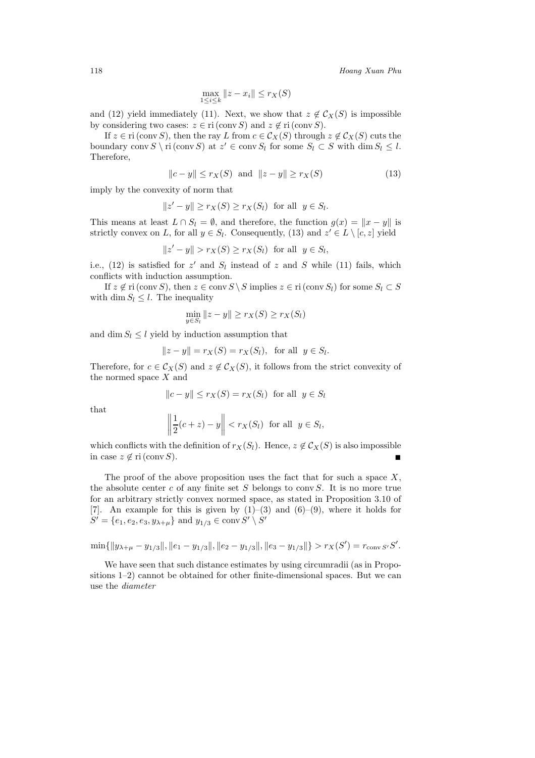$$
\max_{1 \le i \le k} \|z - x_i\| \le r_X(S)
$$

and (12) yield immediately (11). Next, we show that  $z \notin C_X(S)$  is impossible by considering two cases:  $z \in \text{ri}(\text{conv } S)$  and  $z \notin \text{ri}(\text{conv } S)$ .

If  $z \in \text{ri}(\text{conv }S)$ , then the ray L from  $c \in \mathcal{C}_X(S)$  through  $z \notin \mathcal{C}_X(S)$  cuts the boundary conv  $S \setminus \text{ri}(\text{conv } S)$  at  $z' \in \text{conv } S_l$  for some  $S_l \subset S$  with  $\dim S_l \leq l$ . Therefore,

$$
||c - y|| \le r_X(S) \text{ and } ||z - y|| \ge r_X(S)
$$
 (13)

imply by the convexity of norm that

$$
||z'-y|| \ge r_X(S) \ge r_X(S_l) \text{ for all } y \in S_l.
$$

This means at least  $L \cap S_l = \emptyset$ , and therefore, the function  $g(x) = ||x - y||$  is strictly convex on L, for all  $y \in S_l$ . Consequently, (13) and  $z' \in L \setminus [c, z]$  yield

$$
||z'-y|| > r_X(S) \ge r_X(S_l) \text{ for all } y \in S_l,
$$

i.e., (12) is satisfied for  $z'$  and  $S_l$  instead of z and S while (11) fails, which conflicts with induction assumption.

If  $z \notin \text{ri}(\text{conv }S)$ , then  $z \in \text{conv }S \setminus S$  implies  $z \in \text{ri}(\text{conv }S_l)$  for some  $S_l \subset S$ with dim  $S_l \leq l$ . The inequality

$$
\min_{y \in S_l} \|z - y\| \ge r_X(S) \ge r_X(S_l)
$$

and dim  $S_l \leq l$  yield by induction assumption that

$$
||z - y|| = r_X(S) = r_X(S_l)
$$
, for all  $y \in S_l$ .

Therefore, for  $c \in \mathcal{C}_X(S)$  and  $z \notin \mathcal{C}_X(S)$ , it follows from the strict convexity of the normed space X and

$$
||c - y|| \le r_X(S) = r_X(S_l) \text{ for all } y \in S_l
$$

that

$$
\left\|\frac{1}{2}(c+z) - y\right\| < r_X(S_l) \quad \text{for all} \quad y \in S_l,
$$

which conflicts with the definition of  $r_X(S_l)$ . Hence,  $z \notin C_X(S)$  is also impossible in case  $z \notin \text{ri}(\text{conv } S)$ .

The proof of the above proposition uses the fact that for such a space  $X$ , the absolute center  $c$  of any finite set  $S$  belongs to conv $S$ . It is no more true for an arbitrary strictly convex normed space, as stated in Proposition 3.10 of [7]. An example for this is given by  $(1)-(3)$  and  $(6)-(9)$ , where it holds for  $S' = \{e_1, e_2, e_3, y_{\lambda+\mu}\}\$ and  $y_{1/3} \in \text{conv } S' \setminus S'$ 

$$
\min\{\|y_{\lambda+\mu}-y_{1/3}\|,\|e_1-y_{1/3}\|,\|e_2-y_{1/3}\|,\|e_3-y_{1/3}\|\}> r_X(S')=r_{\text{conv }S'}S'.
$$

We have seen that such distance estimates by using circumradii (as in Propositions 1–2) cannot be obtained for other finite-dimensional spaces. But we can use the *diameter*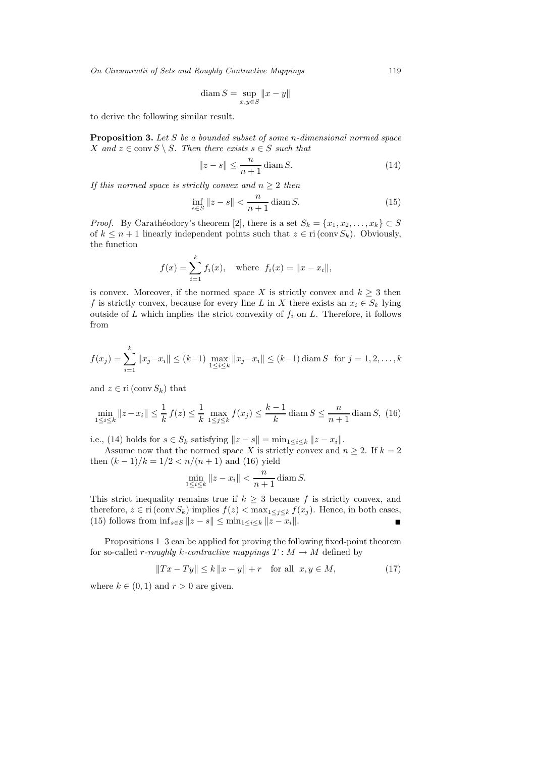*On Circumradii of Sets and Roughly Contractive Mappings* 119

$$
\operatorname{diam} S = \sup_{x,y \in S} ||x - y||
$$

to derive the following similar result.

**Proposition 3.** *Let* S *be a bounded subset of some* n*-dimensional normed space* X and  $z \in \text{conv } S \setminus S$ . Then there exists  $s \in S$  *such that* 

$$
||z - s|| \le \frac{n}{n+1} \operatorname{diam} S. \tag{14}
$$

*If this normed space is strictly convex and*  $n \geq 2$  *then* 

$$
\inf_{s \in S} ||z - s|| < \frac{n}{n+1} \operatorname{diam} S. \tag{15}
$$

*Proof.* By Carathéodory's theorem [2], there is a set  $S_k = \{x_1, x_2, \ldots, x_k\} \subset S$ <br>of  $k \leq n+1$  linearly independent points such that  $z \in \text{ri}(\text{conv } S_1)$ . Obviously of  $k \leq n+1$  linearly independent points such that  $z \in \text{ri}(\text{conv }S_k)$ . Obviously, the function

$$
f(x) = \sum_{i=1}^{k} f_i(x)
$$
, where  $f_i(x) = ||x - x_i||$ ,

is convex. Moreover, if the normed space X is strictly convex and  $k \geq 3$  then f is strictly convex, because for every line L in X there exists an  $x_i \in S_k$  lying outside of  $L$  which implies the strict convexity of  $f_i$  on  $L$ . Therefore, it follows from

$$
f(x_j) = \sum_{i=1}^k ||x_j - x_i|| \le (k-1) \max_{1 \le i \le k} ||x_j - x_i|| \le (k-1) \operatorname{diam} S \text{ for } j = 1, 2, ..., k
$$

and  $z \in \text{ri}(\text{conv } S_k)$  that

$$
\min_{1 \le i \le k} \|z - x_i\| \le \frac{1}{k} \ f(z) \le \frac{1}{k} \ \max_{1 \le j \le k} f(x_j) \le \frac{k-1}{k} \operatorname{diam} S \le \frac{n}{n+1} \operatorname{diam} S, \ (16)
$$

i.e., (14) holds for  $s \in S_k$  satisfying  $||z - s|| = \min_{1 \leq i \leq k} ||z - x_i||$ .

Assume now that the normed space X is strictly convex and  $n \geq 2$ . If  $k = 2$ then  $(k-1)/k = 1/2 < n/(n+1)$  and (16) yield

$$
\min_{1 \le i \le k} \|z - x_i\| < \frac{n}{n+1} \operatorname{diam} S.
$$

This strict inequality remains true if  $k \geq 3$  because f is strictly convex, and therefore  $z \in \text{ri}(\text{conv } S)$  implies  $f(z) \leq \max_{z \in \mathcal{X}} f(x)$ . Hence in both cases therefore,  $z \in \text{ri}(\text{conv } S_k)$  implies  $f(z) < \max_{1 \leq j \leq k} f(x_j)$ . Hence, in both cases, (15) follows from  $\inf_{z \in S} ||z - s|| < \min_{1 \leq i \leq k} ||z - x_i||$ . (15) follows from  $\inf_{s \in S} ||z - s|| \le \min_{1 \le i \le k} ||z - x_i||$ .

Propositions 1–3 can be applied for proving the following fixed-point theorem for so-called r-roughly k-contractive mappings  $T : M \to M$  defined by

$$
||Tx - Ty|| \le k ||x - y|| + r \text{ for all } x, y \in M,
$$
 (17)

where  $k \in (0, 1)$  and  $r > 0$  are given.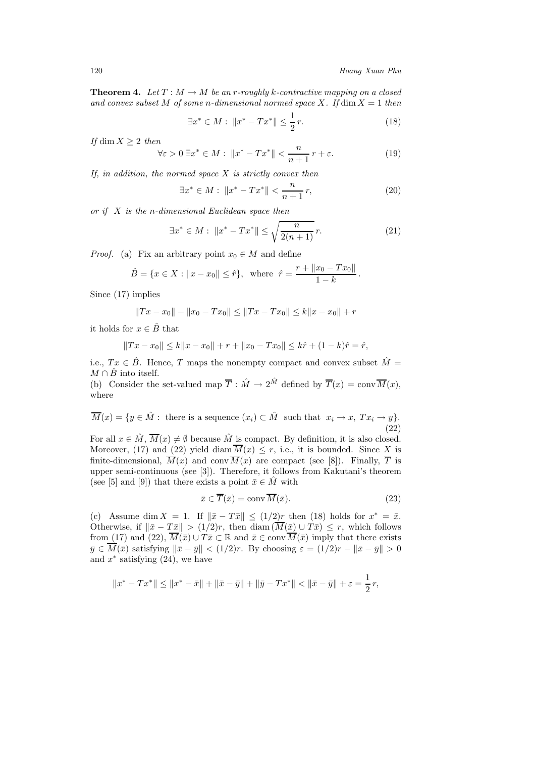**Theorem 4.** *Let*  $T : M \to M$  *be an r-roughly k-contractive mapping on a closed* and convex subset M of some *n*-dimensional normed space X. If  $\dim X = 1$  then

$$
\exists x^* \in M : \|x^* - Tx^*\| \le \frac{1}{2} r. \tag{18}
$$

*If* dim  $X \geq 2$  *then* 

$$
\forall \varepsilon > 0 \; \exists x^* \in M: \; \|x^* - Tx^*\| < \frac{n}{n+1}r + \varepsilon. \tag{19}
$$

*If, in addition, the normed space* X *is strictly convex then*

$$
\exists x^* \in M : \|x^* - Tx^*\| < \frac{n}{n+1} \, r,\tag{20}
$$

*or if* X *is the* n*-dimensional Euclidean space then*

$$
\exists x^* \in M : \|x^* - Tx^*\| \le \sqrt{\frac{n}{2(n+1)}} r.
$$
 (21)

*Proof.* (a) Fix an arbitrary point  $x_0 \in M$  and define

$$
\hat{B} = \{x \in X : ||x - x_0|| \leq \hat{r}\}, \text{ where } \hat{r} = \frac{r + ||x_0 - Tx_0||}{1 - k}.
$$

Since (17) implies

$$
||Tx - x_0|| - ||x_0 - Tx_0|| \le ||Tx - Tx_0|| \le k||x - x_0|| + r
$$

it holds for  $x \in \hat{B}$  that

$$
||Tx - x_0|| \le k||x - x_0|| + r + ||x_0 - Tx_0|| \le k\hat{r} + (1 - k)\hat{r} = \hat{r},
$$

i.e.,  $Tx \in \hat{B}$ . Hence, T maps the nonempty compact and convex subset  $\hat{M} =$  $M \cap B$  into itself.

(b) Consider the set-valued map  $\overline{T}$ :  $\hat{M} \to 2^{\hat{M}}$  defined by  $\overline{T}(x) = \text{conv}\,\overline{M}(x)$ , where

 $\overline{M}(x) = \{y \in \hat{M} : \text{ there is a sequence } (x_i) \subset \hat{M} \text{ such that } x_i \to x, Tx_i \to y\}.$ (22)

For all  $x \in \hat{M}$ ,  $\overline{M}(x) \neq \emptyset$  because  $\hat{M}$  is compact. By definition, it is also closed. Moreover, (17) and (22) yield diam  $\overline{M}(x) \leq r$ , i.e., it is bounded. Since X is finite-dimensional,  $\overline{M}(x)$  and conv $\overline{M}(x)$  are compact (see [8]). Finally,  $\overline{T}$  is upper semi-continuous (see [3]). Therefore, it follows from Kakutani's theorem (see [5] and [9]) that there exists a point  $\bar{x} \in M$  with

$$
\bar{x} \in \overline{T}(\bar{x}) = \text{conv}\,\overline{M}(\bar{x}).\tag{23}
$$

(c) Assume dim  $X = 1$ . If  $\|\bar{x} - T\bar{x}\| \leq (1/2)r$  then (18) holds for  $x^* = \bar{x}$ . Otherwise, if  $\|\bar{x}-T\bar{x}\| > (1/2)r$ , then diam  $(\overline{M}(\bar{x}) \cup T\bar{x}) \leq r$ , which follows from (17) and (22),  $\overline{M}(\bar{x}) \cup T\bar{x} \subset \mathbb{R}$  and  $\bar{x} \in \text{conv } \overline{M}(\bar{x})$  imply that there exists  $\bar{y} \in \overline{M}(\bar{x})$  satisfying  $\|\bar{x}-\bar{y}\| < (1/2)r$ . By choosing  $\varepsilon = (1/2)r - \|\bar{x}-\bar{y}\| > 0$ and  $x^*$  satisfying  $(24)$ , we have

$$
||x^* - Tx^*|| \le ||x^* - \bar{x}|| + ||\bar{x} - \bar{y}|| + ||\bar{y} - Tx^*|| < ||\bar{x} - \bar{y}|| + \varepsilon = \frac{1}{2}r,
$$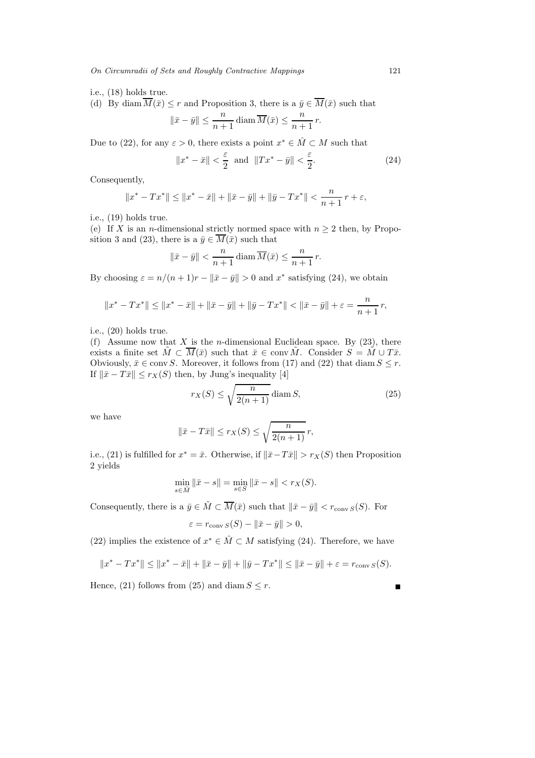*On Circumradii of Sets and Roughly Contractive Mappings* 121

i.e., (18) holds true.

(d) By diam  $\overline{M}(\bar{x}) \leq r$  and Proposition 3, there is a  $\bar{y} \in \overline{M}(\bar{x})$  such that

$$
\|\bar{x} - \bar{y}\| \le \frac{n}{n+1} \operatorname{diam} \overline{M}(\bar{x}) \le \frac{n}{n+1} r
$$

Due to (22), for any  $\varepsilon > 0$ , there exists a point  $x^* \in \hat{M} \subset M$  such that

$$
||x^* - \bar{x}|| < \frac{\varepsilon}{2} \text{ and } ||Tx^* - \bar{y}|| < \frac{\varepsilon}{2}.
$$
 (24)

Consequently,

$$
||x^* - Tx^*|| \le ||x^* - \bar{x}|| + ||\bar{x} - \bar{y}|| + ||\bar{y} - Tx^*|| < \frac{n}{n+1}r + \varepsilon,
$$

i.e., (19) holds true.

(e) If X is an *n*-dimensional strictly normed space with  $n \geq 2$  then, by Proposition 3 and (23), there is a  $\bar{y} \in \overline{M}(\bar{x})$  such that

$$
\|\bar{x} - \bar{y}\| < \frac{n}{n+1} \operatorname{diam} \overline{M}(\bar{x}) \le \frac{n}{n+1} r
$$

By choosing  $\varepsilon = n/(n+1)r - ||\bar{x} - \bar{y}|| > 0$  and  $x^*$  satisfying (24), we obtain

$$
||x^* - Tx^*|| \le ||x^* - \bar{x}|| + ||\bar{x} - \bar{y}|| + ||\bar{y} - Tx^*|| < ||\bar{x} - \bar{y}|| + \varepsilon = \frac{n}{n+1}r,
$$

i.e., (20) holds true.

(f) Assume now that X is the *n*-dimensional Euclidean space. By  $(23)$ , there exists a finite set  $\tilde{M} \subset \overline{M}(\bar{x})$  such that  $\bar{x} \in \text{conv }\tilde{M}$ . Consider  $S = \tilde{M} \cup T\bar{x}$ . Obviously,  $\bar{x} \in \text{conv } S$ . Moreover, it follows from (17) and (22) that diam  $S \leq r$ . If  $\|\bar{x} - T\bar{x}\| \leq r_X(S)$  then, by Jung's inequality [4]

$$
r_X(S) \le \sqrt{\frac{n}{2(n+1)}} \operatorname{diam} S,\tag{25}
$$

we have

$$
\|\bar{x} - T\bar{x}\| \le r_X(S) \le \sqrt{\frac{n}{2(n+1)}}\,r,
$$

i.e., (21) is fulfilled for  $x^* = \bar{x}$ . Otherwise, if  $\|\bar{x} - T\bar{x}\| > r_X(S)$  then Proposition 2 yields

$$
\min_{s \in \tilde{M}} \|\bar{x} - s\| = \min_{s \in S} \|\bar{x} - s\| < r_X(S).
$$

Consequently, there is a  $\bar{y} \in \tilde{M} \subset \overline{M}(\bar{x})$  such that  $\|\bar{x}-\bar{y}\| < r_{\text{conv }S}(S)$ . For

$$
\varepsilon = r_{\text{conv }S}(S) - ||\bar{x} - \bar{y}|| > 0,
$$

(22) implies the existence of  $x^* \in \hat{M} \subset M$  satisfying (24). Therefore, we have

$$
||x^* - Tx^*|| \le ||x^* - \bar{x}|| + ||\bar{x} - \bar{y}|| + ||\bar{y} - Tx^*|| \le ||\bar{x} - \bar{y}|| + \varepsilon = r_{\text{conv }S}(S).
$$

Hence, (21) follows from (25) and diam  $S \leq r$ .